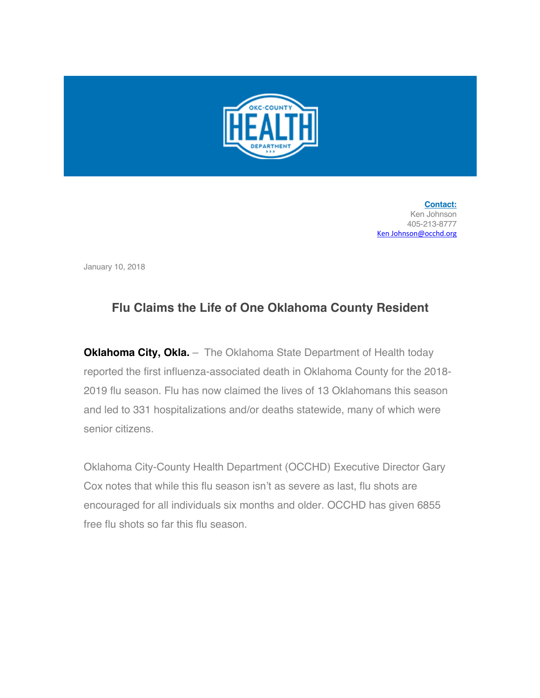

**Contact:** Ken Johnson 405-213-8777 Ken Johnson@occhd.org

January 10, 2018

## **Flu Claims the Life of One Oklahoma County Resident**

**Oklahoma City, Okla.** – The Oklahoma State Department of Health today reported the first influenza-associated death in Oklahoma County for the 2018- 2019 flu season. Flu has now claimed the lives of 13 Oklahomans this season and led to 331 hospitalizations and/or deaths statewide, many of which were senior citizens.

Oklahoma City-County Health Department (OCCHD) Executive Director Gary Cox notes that while this flu season isn't as severe as last, flu shots are encouraged for all individuals six months and older. OCCHD has given 6855 free flu shots so far this flu season.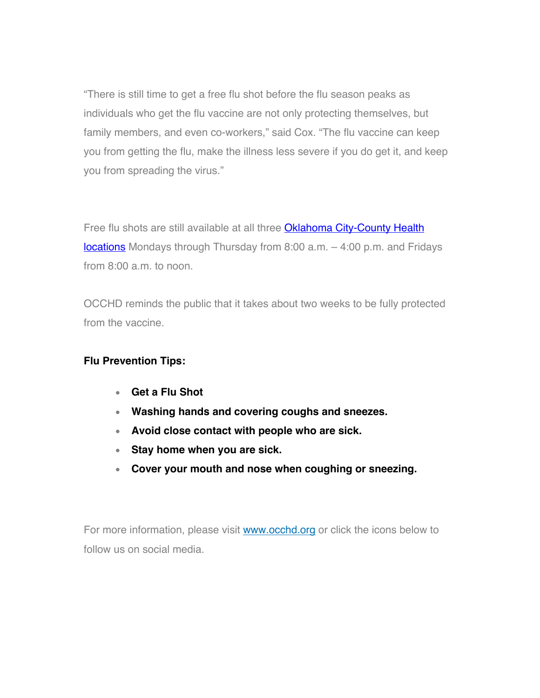"There is still time to get a free flu shot before the flu season peaks as individuals who get the flu vaccine are not only protecting themselves, but family members, and even co-workers," said Cox. "The flu vaccine can keep you from getting the flu, make the illness less severe if you do get it, and keep you from spreading the virus."

Free flu shots are still available at all three Oklahoma City-County Health locations Mondays through Thursday from 8:00 a.m. - 4:00 p.m. and Fridays from 8:00 a.m. to noon.

OCCHD reminds the public that it takes about two weeks to be fully protected from the vaccine.

## **Flu Prevention Tips:**

- **Get a Flu Shot**
- **Washing hands and covering coughs and sneezes.**
- **Avoid close contact with people who are sick.**
- **Stay home when you are sick.**
- **Cover your mouth and nose when coughing or sneezing.**

For more information, please visit www.occhd.org or click the icons below to follow us on social media.